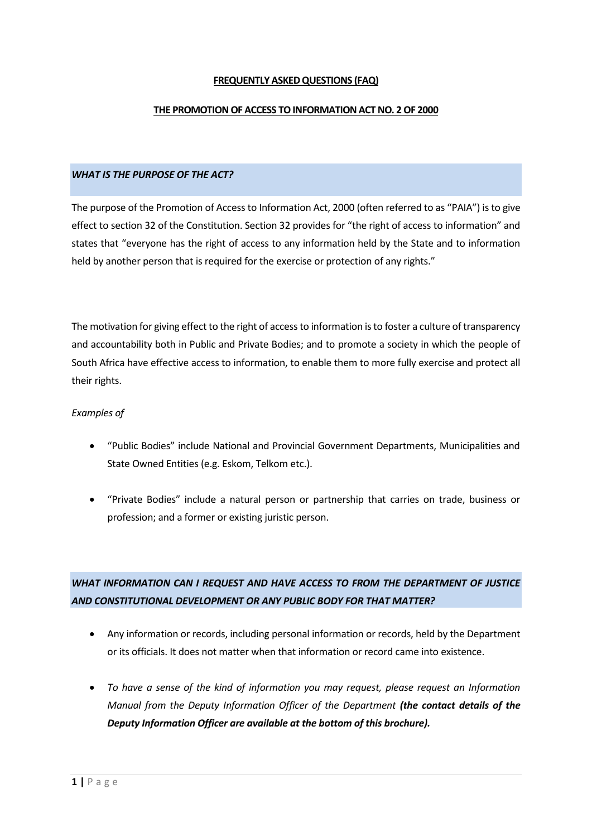### **FREQUENTLY ASKED QUESTIONS (FAQ)**

#### **THE PROMOTION OF ACCESS TO INFORMATION ACT NO. 2 OF 2000**

#### *WHAT IS THE PURPOSE OF THE ACT?*

The purpose of the Promotion of Access to Information Act, 2000 (often referred to as "PAIA") is to give effect to section 32 of the Constitution. Section 32 provides for "the right of access to information" and states that "everyone has the right of access to any information held by the State and to information held by another person that is required for the exercise or protection of any rights."

The motivation for giving effect to the right of access to information is to foster a culture of transparency and accountability both in Public and Private Bodies; and to promote a society in which the people of South Africa have effective access to information, to enable them to more fully exercise and protect all their rights.

#### *Examples of*

- "Public Bodies" include National and Provincial Government Departments, Municipalities and State Owned Entities (e.g. Eskom, Telkom etc.).
- "Private Bodies" include a natural person or partnership that carries on trade, business or profession; and a former or existing juristic person.

# *WHAT INFORMATION CAN I REQUEST AND HAVE ACCESS TO FROM THE DEPARTMENT OF JUSTICE AND CONSTITUTIONAL DEVELOPMENT OR ANY PUBLIC BODY FOR THAT MATTER?*

- Any information or records, including personal information or records, held by the Department or its officials. It does not matter when that information or record came into existence.
- *To have a sense of the kind of information you may request, please request an [Information](http://www.justice.gov.za/paia/dojcd-paia-manual.pdf)  [Manual](http://www.justice.gov.za/paia/dojcd-paia-manual.pdf) from the Deputy Information Officer of the Department (the contact details of the Deputy Information Officer are available at the bottom of this brochure).*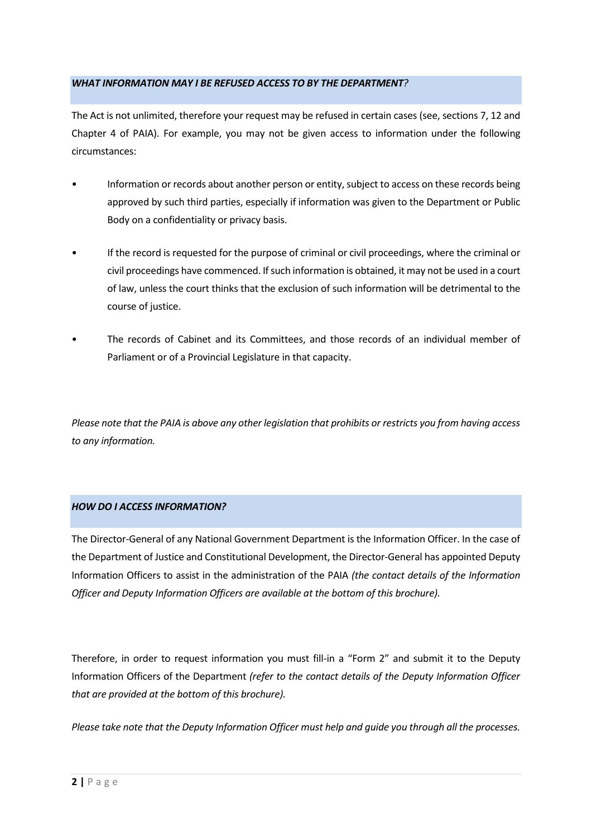### *WHAT INFORMATION MAY I BE REFUSED ACCESS TO BY THE DEPARTMENT?*

The Act is not unlimited, therefore your request may be refused in certain cases (see, sections 7, 12 and Chapter 4 of PAIA). For example, you may not be given access to information under the following circumstances:

- Information or records about another person or entity, subject to access on these records being approved by such third parties, especially if information was given to the Department or Public Body on a confidentiality or privacy basis.
- If the record is requested for the purpose of criminal or civil proceedings, where the criminal or civil proceedings have commenced. If such information is obtained, it may not be used in a court of law, unless the court thinks that the exclusion of such information will be detrimental to the course of justice.
- The records of Cabinet and its Committees, and those records of an individual member of Parliament or of a Provincial Legislature in that capacity.

*Please note that the PAIA is above any other legislation that prohibits or restricts you from having access to any information.*

### *HOW DO I ACCESS INFORMATION?*

The Director-General of any National Government Department is the Information Officer. In the case of the Department of Justice and Constitutional Development, the Director-General has appointed Deputy Information Officers to assist in the administration of the PAIA *(the contact details of the Information Officer and Deputy Information Officers are available at the bottom of this brochure).*

Therefore, in order to request information you must fill-in a "[Form 2](http://www.justice.gov.za/forms/form_paia.htm)" and submit it to the Deputy Information Officers of the Department *(refer to the contact details of the Deputy Information Officer that are provided at the bottom of this brochure).*

*Please take note that the Deputy Information Officer must help and guide you through all the processes.*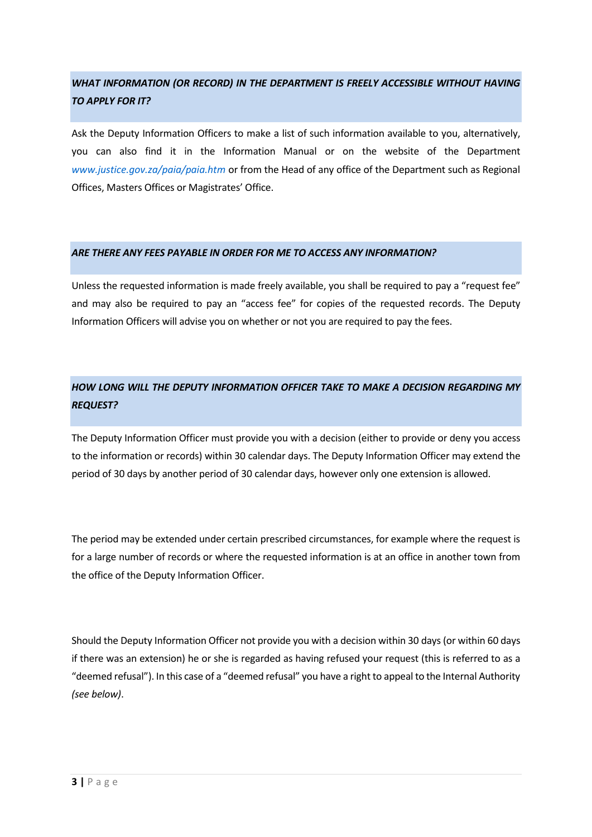# *WHAT INFORMATION (OR RECORD) IN THE DEPARTMENT IS FREELY ACCESSIBLE WITHOUT HAVING TO APPLY FOR IT?*

Ask the Deputy Information Officers to make a list of such information available to you, alternatively, you can also find it in the [Information Manual](http://www.justice.gov.za/paia/dojcd-paia-manual.pdf) or on the website of the Department *[www.justice.gov.za/paia/paia.htm](https://protect-za.mimecast.com/s/v-qmCKOBooI2jEPRI30PqK?domain=justice.gov.za)* or from the Head of any office of the Department such as Regional Offices, Masters Offices or Magistrates' Office.

### *ARE THERE ANY FEES PAYABLE IN ORDER FOR ME TO ACCESS ANY INFORMATION?*

Unless the requested information is made freely available, you shall be required to pay a "request fee" and may also be required to pay an "access fee" for copies of the requested records. The Deputy Information Officers will advise you on whether or not you are required to pay the fees.

# *HOW LONG WILL THE DEPUTY INFORMATION OFFICER TAKE TO MAKE A DECISION REGARDING MY REQUEST?*

The Deputy Information Officer must provide you with a decision (either to provide or deny you access to the information or records) within 30 calendar days. The Deputy Information Officer may extend the period of 30 days by another period of 30 calendar days, however only one extension is allowed.

The period may be extended under certain prescribed circumstances, for example where the request is for a large number of records or where the requested information is at an office in another town from the office of the Deputy Information Officer.

Should the Deputy Information Officer not provide you with a decision within 30 days (or within 60 days if there was an extension) he or she is regarded as having refused your request (this is referred to as a "deemed refusal"). In this case of a "deemed refusal" you have a right to appeal to the Internal Authority *(see below)*.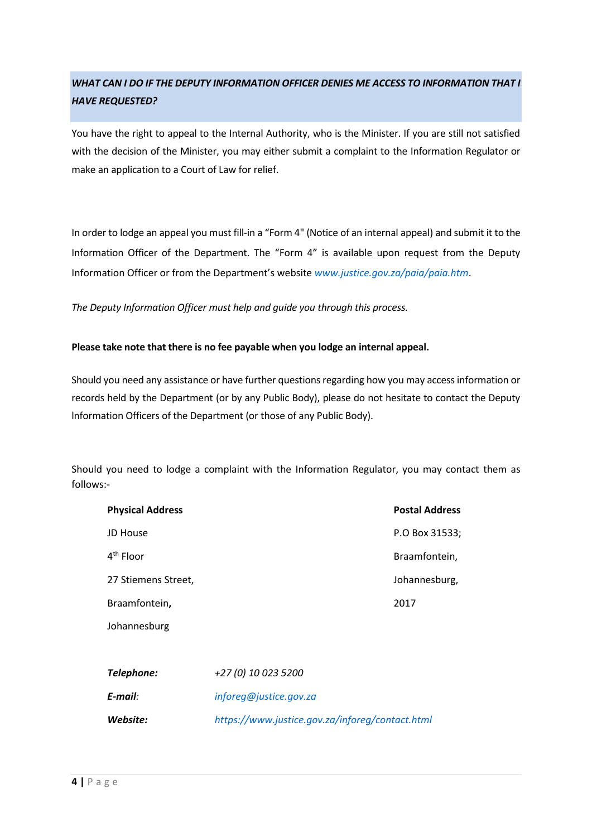# *WHAT CAN I DO IF THE DEPUTY INFORMATION OFFICER DENIES ME ACCESS TO INFORMATION THAT I HAVE REQUESTED?*

You have the right to appeal to the Internal Authority, who is the Minister. If you are still not satisfied with the decision of the Minister, you may either submit a complaint to the Information Regulator or make an application to a Court of Law for relief.

In order to lodge an appeal you must fill-in a "[Form 4"](http://www.justice.gov.za/forms/paia/J751_paia_Form%20B.pdf) (Notice of an internal appeal) and submit it to the Information Officer of the Department. The "Form 4" is available upon request from the Deputy Information Officer or from the Department's website *[www.justice.gov.za/paia/paia.htm](https://protect-za.mimecast.com/s/v-qmCKOBooI2jEPRI30PqK?domain=justice.gov.za)*.

*The Deputy Information Officer must help and guide you through this process.*

### **Please take note that there is no fee payable when you lodge an internal appeal.**

Should you need any assistance or have further questions regarding how you may access information or records held by the Department (or by any Public Body), please do not hesitate to contact the Deputy lnformation Officers of the Department (or those of any Public Body).

Should you need to lodge a complaint with the Information Regulator, you may contact them as follows:-

| <b>Physical Address</b> | <b>Postal Address</b> |
|-------------------------|-----------------------|
| JD House                | P.O Box 31533;        |
| 4 <sup>th</sup> Floor   | Braamfontein,         |
| 27 Stiemens Street,     | Johannesburg,         |
| Braamfontein,           | 2017                  |
| Johannesburg            |                       |
|                         |                       |
|                         |                       |

| Telephone: | +27 (0) 10 023 5200                             |
|------------|-------------------------------------------------|
| E-mail:    | inforeq@justice.gov.za                          |
| Website:   | https://www.justice.gov.za/inforeg/contact.html |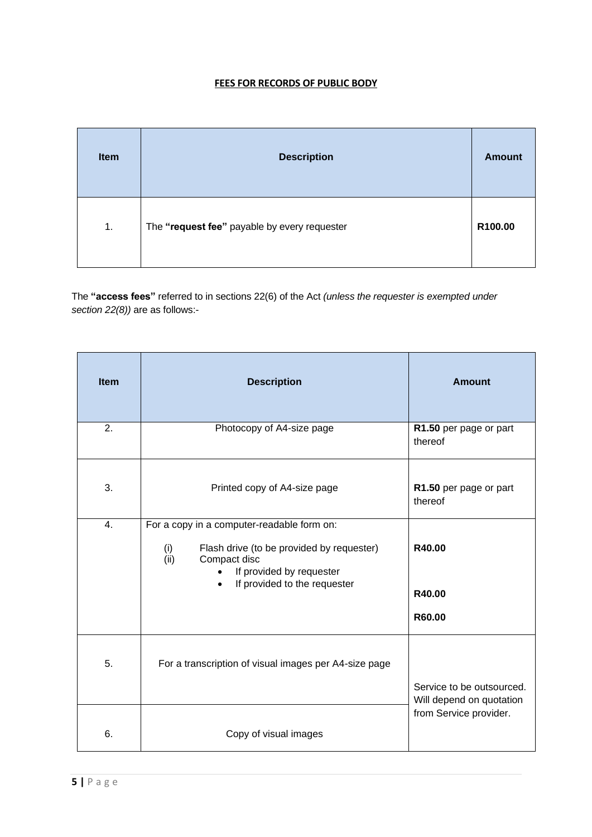### **FEES FOR RECORDS OF PUBLIC BODY**

| Item | <b>Description</b>                           | <b>Amount</b> |
|------|----------------------------------------------|---------------|
| 1.   | The "request fee" payable by every requester | R100.00       |

The **"access fees"** referred to in sections 22(6) of the Act *(unless the requester is exempted under section 22(8))* are as follows:-

| <b>Item</b> | <b>Description</b>                                                                                                                                                                 | <b>Amount</b>                                         |
|-------------|------------------------------------------------------------------------------------------------------------------------------------------------------------------------------------|-------------------------------------------------------|
| 2.          | Photocopy of A4-size page                                                                                                                                                          | R1.50 per page or part<br>thereof                     |
| 3.          | Printed copy of A4-size page                                                                                                                                                       | R1.50 per page or part<br>thereof                     |
| 4.          | For a copy in a computer-readable form on:<br>(i)<br>Flash drive (to be provided by requester)<br>(ii)<br>Compact disc<br>If provided by requester<br>If provided to the requester | R40.00<br>R40.00<br>R60.00                            |
| 5.          | For a transcription of visual images per A4-size page                                                                                                                              | Service to be outsourced.<br>Will depend on quotation |
| 6.          | Copy of visual images                                                                                                                                                              | from Service provider.                                |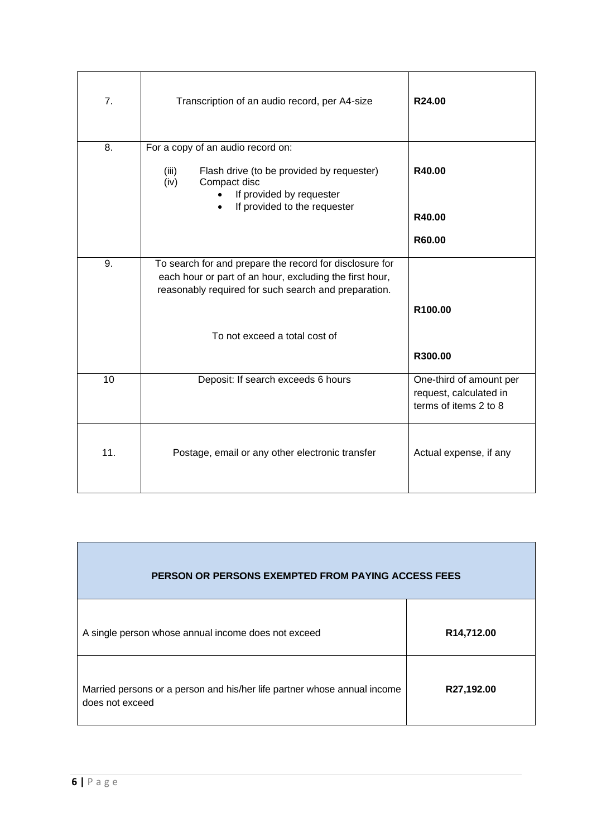| 7.  | Transcription of an audio record, per A4-size                                                                                                                              | R24.00                                                                     |
|-----|----------------------------------------------------------------------------------------------------------------------------------------------------------------------------|----------------------------------------------------------------------------|
| 8.  | For a copy of an audio record on:                                                                                                                                          |                                                                            |
|     | Flash drive (to be provided by requester)<br>(iii)<br>Compact disc<br>(iv)<br>If provided by requester                                                                     | R40.00                                                                     |
|     | If provided to the requester                                                                                                                                               | R40.00                                                                     |
|     |                                                                                                                                                                            | R60.00                                                                     |
| 9.  | To search for and prepare the record for disclosure for<br>each hour or part of an hour, excluding the first hour,<br>reasonably required for such search and preparation. |                                                                            |
|     |                                                                                                                                                                            | R100.00                                                                    |
|     | To not exceed a total cost of                                                                                                                                              |                                                                            |
|     |                                                                                                                                                                            | R300.00                                                                    |
| 10  | Deposit: If search exceeds 6 hours                                                                                                                                         | One-third of amount per<br>request, calculated in<br>terms of items 2 to 8 |
| 11. | Postage, email or any other electronic transfer                                                                                                                            | Actual expense, if any                                                     |

| <b>PERSON OR PERSONS EXEMPTED FROM PAYING ACCESS FEES</b>                                   |            |
|---------------------------------------------------------------------------------------------|------------|
| A single person whose annual income does not exceed                                         | R14,712.00 |
| Married persons or a person and his/her life partner whose annual income<br>does not exceed | R27,192.00 |